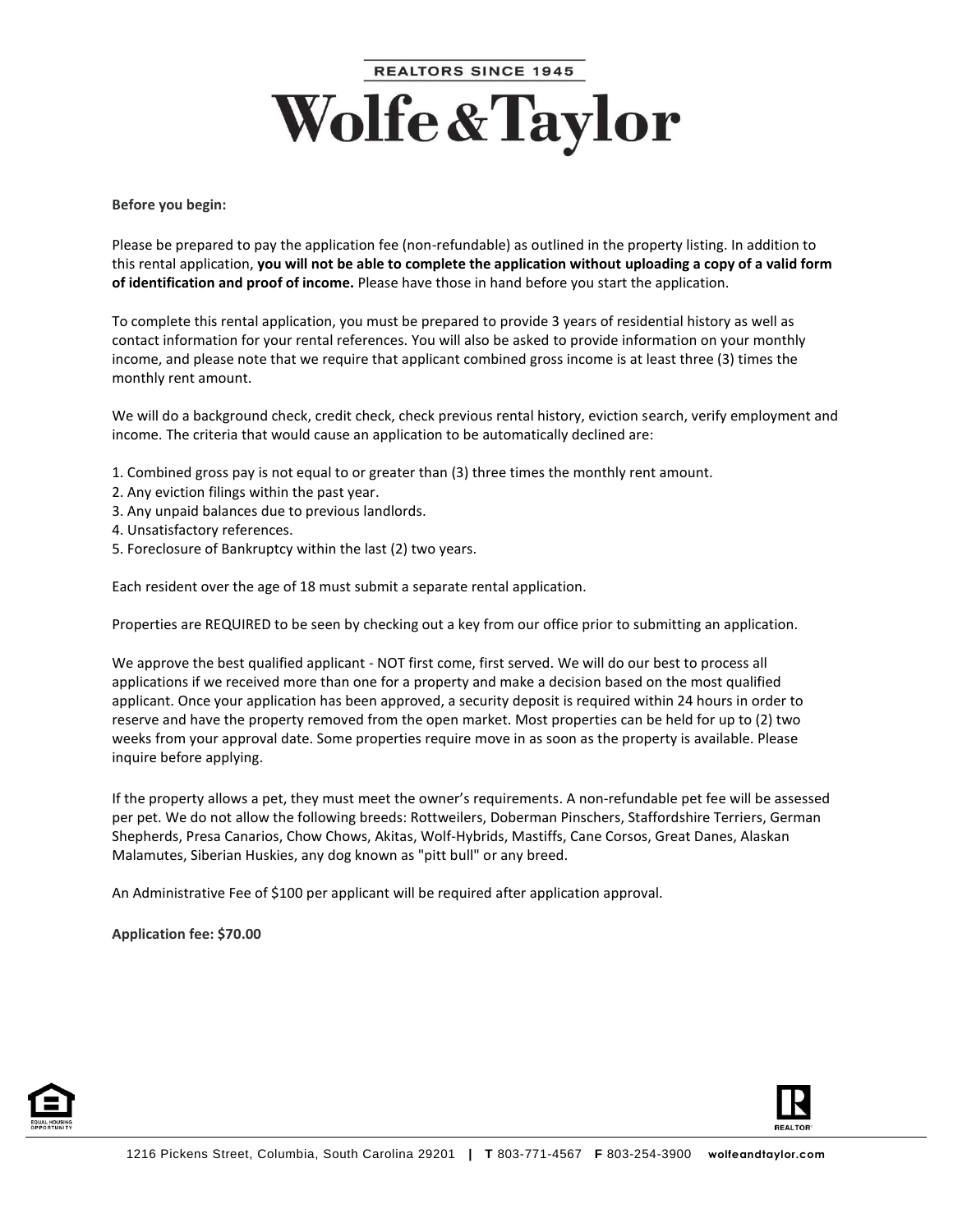# **REALTORS SINCE 1945 Wolfe & Taylor**

**Before you begin:**

Please be prepared to pay the application fee (non-refundable) as outlined in the property listing. In addition to this rental application, **you will not be able to complete the application without uploading a copy of a valid form of identification and proof of income.** Please have those in hand before you start the application.

To complete this rental application, you must be prepared to provide 3 years of residential history as well as contact information for your rental references. You will also be asked to provide information on your monthly income, and please note that we require that applicant combined gross income is at least three (3) times the monthly rent amount.

We will do a background check, credit check, check previous rental history, eviction search, verify employment and income. The criteria that would cause an application to be automatically declined are:

- 1. Combined gross pay is not equal to or greater than (3) three times the monthly rent amount.
- 2. Any eviction filings within the past year.
- 3. Any unpaid balances due to previous landlords.
- 4. Unsatisfactory references.
- 5. Foreclosure of Bankruptcy within the last (2) two years.

Each resident over the age of 18 must submit a separate rental application.

Properties are REQUIRED to be seen by checking out a key from our office prior to submitting an application.

We approve the best qualified applicant - NOT first come, first served. We will do our best to process all applications if we received more than one for a property and make a decision based on the most qualified applicant. Once your application has been approved, a security deposit is required within 24 hours in order to reserve and have the property removed from the open market. Most properties can be held for up to (2) two weeks from your approval date. Some properties require move in as soon as the property is available. Please inquire before applying.

If the property allows a pet, they must meet the owner's requirements. A non-refundable pet fee will be assessed per pet. We do not allow the following breeds: Rottweilers, Doberman Pinschers, Staffordshire Terriers, German Shepherds, Presa Canarios, Chow Chows, Akitas, Wolf-Hybrids, Mastiffs, Cane Corsos, Great Danes, Alaskan Malamutes, Siberian Huskies, any dog known as "pitt bull" or any breed.

An Administrative Fee of \$100 per applicant will be required after application approval.

**Application fee: \$70.00**



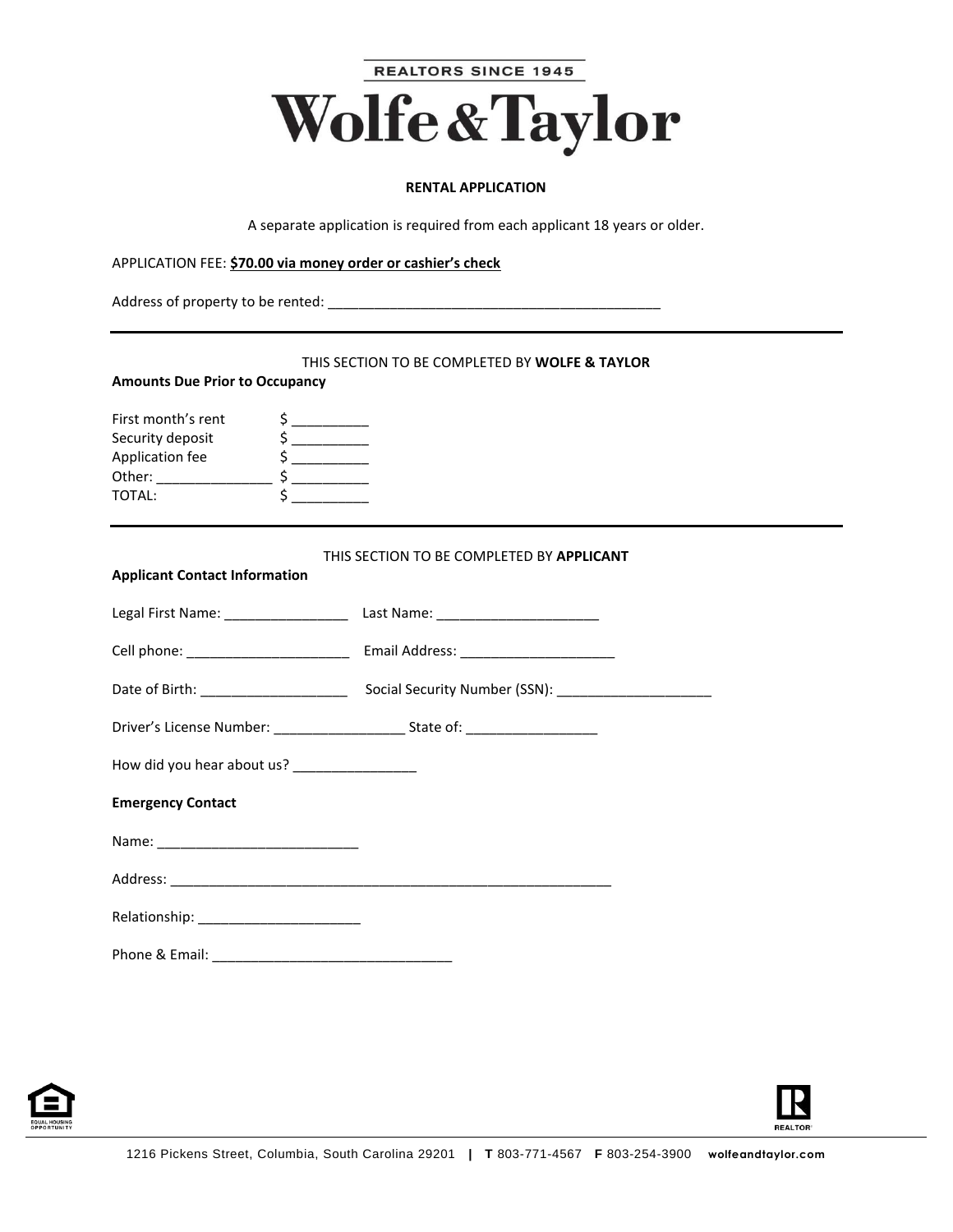

### **RENTAL APPLICATION**

A separate application is required from each applicant 18 years or older.

APPLICATION FEE: **\$70.00 via money order or cashier's check**

Address of property to be rented: \_\_\_\_\_\_\_\_\_\_\_\_\_\_\_\_\_\_\_\_\_\_\_\_\_\_\_\_\_\_\_\_\_\_\_\_\_\_\_\_\_\_\_

#### THIS SECTION TO BE COMPLETED BY **WOLFE & TAYLOR**

#### **Amounts Due Prior to Occupancy**

| First month's rent |  |
|--------------------|--|
| Security deposit   |  |
| Application fee    |  |
| Other:             |  |
| TOTAL:             |  |

### THIS SECTION TO BE COMPLETED BY **APPLICANT**

| <b>Applicant Contact Information</b>         |  |
|----------------------------------------------|--|
|                                              |  |
|                                              |  |
|                                              |  |
|                                              |  |
| How did you hear about us? _________________ |  |
| <b>Emergency Contact</b>                     |  |
|                                              |  |
|                                              |  |
| Relationship: _________________________      |  |
|                                              |  |



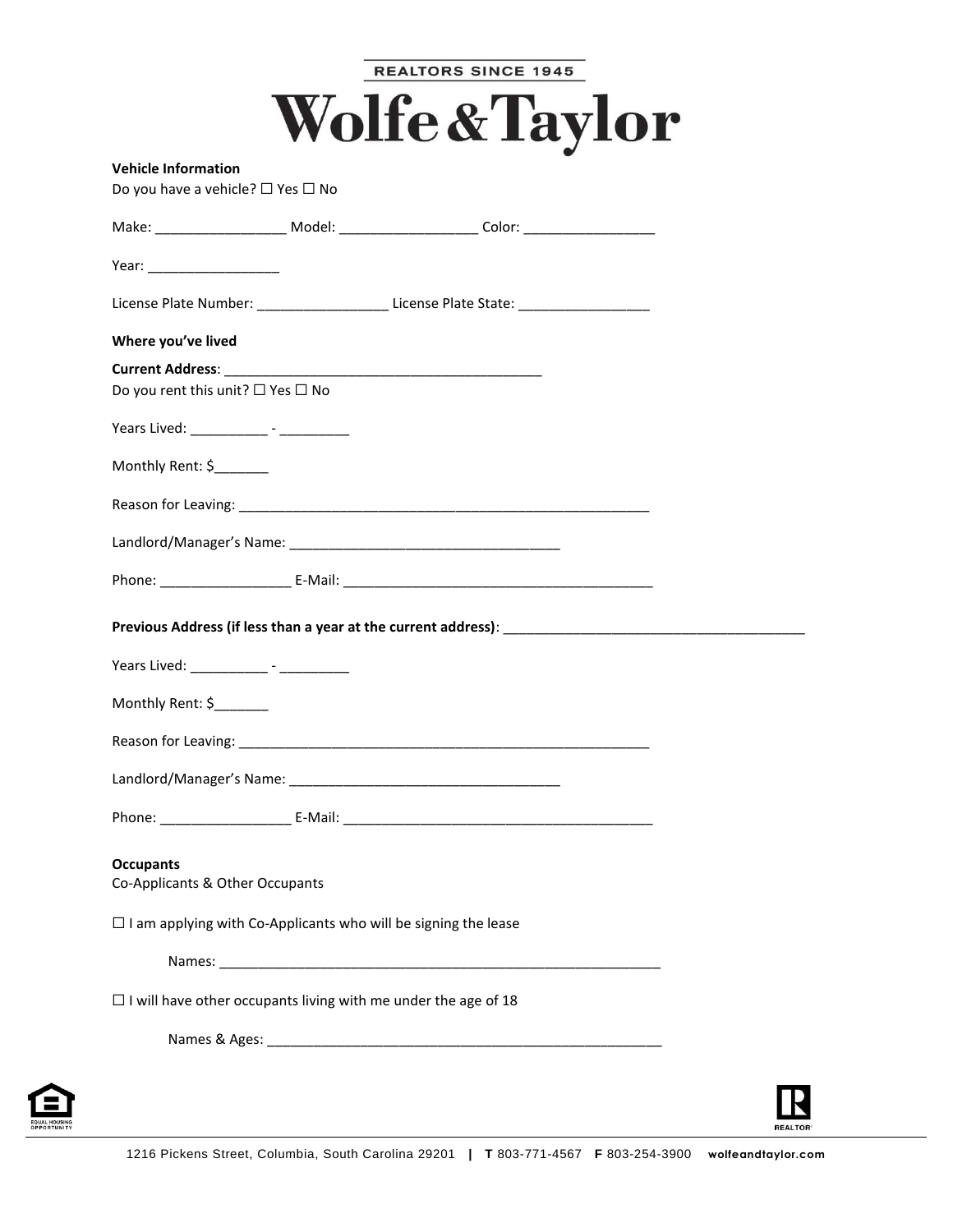**REALTORS SINCE 1945** 

# Wolfe & Taylor

| <b>Vehicle Information</b><br>Do you have a vehicle? $\Box$ Yes $\Box$ No |                                                                                                                                                                                                                                |  |
|---------------------------------------------------------------------------|--------------------------------------------------------------------------------------------------------------------------------------------------------------------------------------------------------------------------------|--|
|                                                                           |                                                                                                                                                                                                                                |  |
|                                                                           |                                                                                                                                                                                                                                |  |
|                                                                           | License Plate Number: _______________________License Plate State: _______________                                                                                                                                              |  |
| Where you've lived                                                        |                                                                                                                                                                                                                                |  |
|                                                                           |                                                                                                                                                                                                                                |  |
| Do you rent this unit? $\square$ Yes $\square$ No                         |                                                                                                                                                                                                                                |  |
| Years Lived: _____________ - ____________                                 |                                                                                                                                                                                                                                |  |
| Monthly Rent: \$                                                          |                                                                                                                                                                                                                                |  |
|                                                                           |                                                                                                                                                                                                                                |  |
|                                                                           |                                                                                                                                                                                                                                |  |
|                                                                           |                                                                                                                                                                                                                                |  |
|                                                                           |                                                                                                                                                                                                                                |  |
| Years Lived: _______________- - _______________                           |                                                                                                                                                                                                                                |  |
| Monthly Rent: \$_______                                                   |                                                                                                                                                                                                                                |  |
|                                                                           |                                                                                                                                                                                                                                |  |
|                                                                           |                                                                                                                                                                                                                                |  |
|                                                                           | Phone: E-Mail: E-Mail: E-Mail: E-Mail: E-Mail: E-Mail: E-Mail: E-Mail: E-Mail: E-Mail: E-Mail: E-Mail: E-Mail: E-Mail: E-Mail: E-Mail: E-Mail: E-Mail: E-Mail: E-Mail: E-Mail: E-Mail: E-Mail: E-Mail: E-Mail: E-Mail: E-Mail: |  |
| <b>Occupants</b><br>Co-Applicants & Other Occupants                       |                                                                                                                                                                                                                                |  |
| $\Box$ I am applying with Co-Applicants who will be signing the lease     |                                                                                                                                                                                                                                |  |
|                                                                           |                                                                                                                                                                                                                                |  |
| $\Box$ I will have other occupants living with me under the age of 18     |                                                                                                                                                                                                                                |  |
|                                                                           |                                                                                                                                                                                                                                |  |
|                                                                           |                                                                                                                                                                                                                                |  |

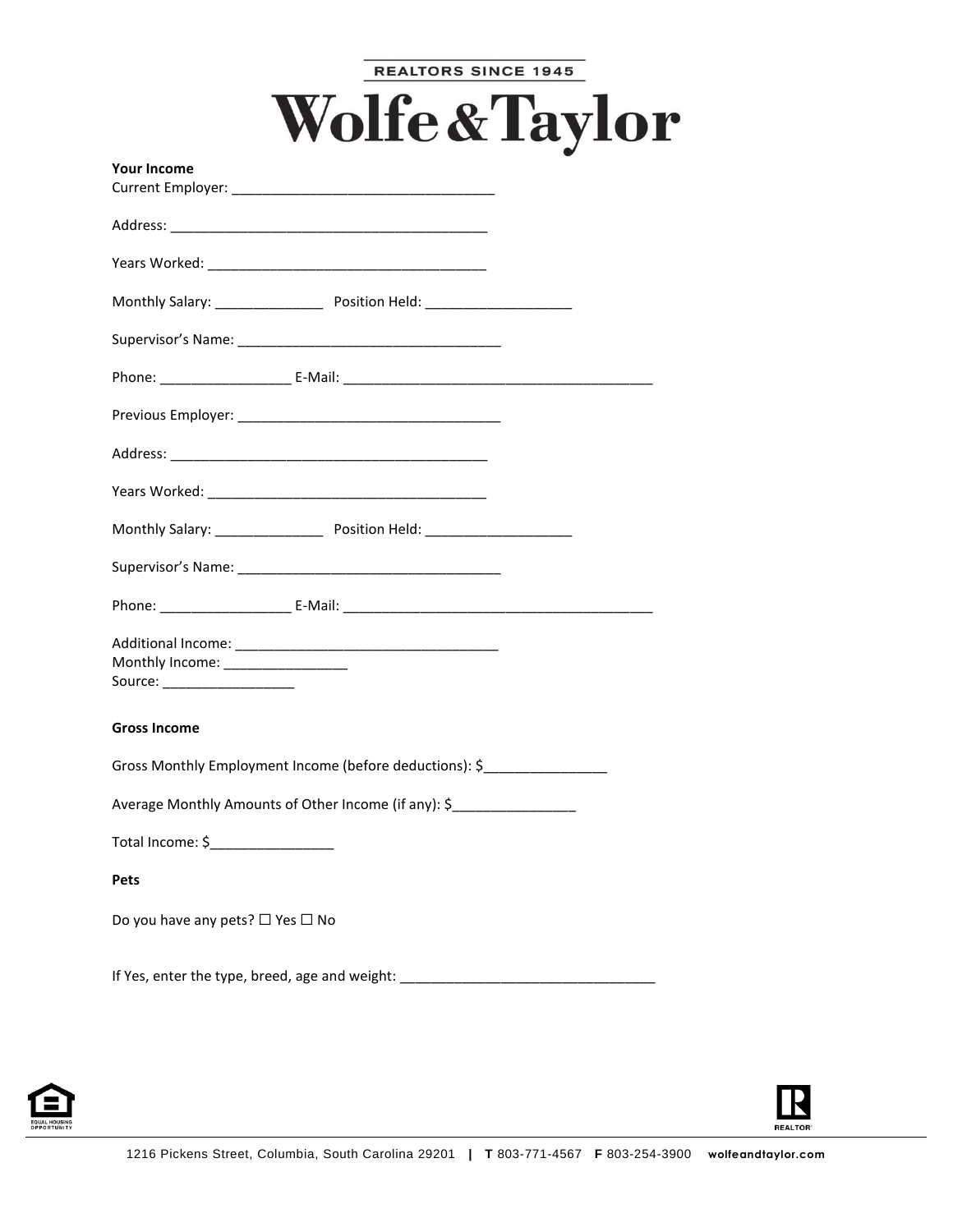| <b>REALTORS SINCE 1945</b>                                                        |
|-----------------------------------------------------------------------------------|
| <b>Wolfe &amp; Taylor</b>                                                         |
| <b>Your Income</b>                                                                |
|                                                                                   |
|                                                                                   |
|                                                                                   |
|                                                                                   |
|                                                                                   |
|                                                                                   |
|                                                                                   |
|                                                                                   |
|                                                                                   |
|                                                                                   |
|                                                                                   |
| Monthly Income: __________________                                                |
| Source: __________________                                                        |
| <b>Gross Income</b>                                                               |
| Gross Monthly Employment Income (before deductions): \$____________________       |
| Average Monthly Amounts of Other Income (if any): \$_____________________________ |
| Total Income: \$____________________                                              |
| Pets                                                                              |
| Do you have any pets? $\square$ Yes $\square$ No                                  |
| If Yes, enter the type, breed, age and weight: _________________________________  |
|                                                                                   |



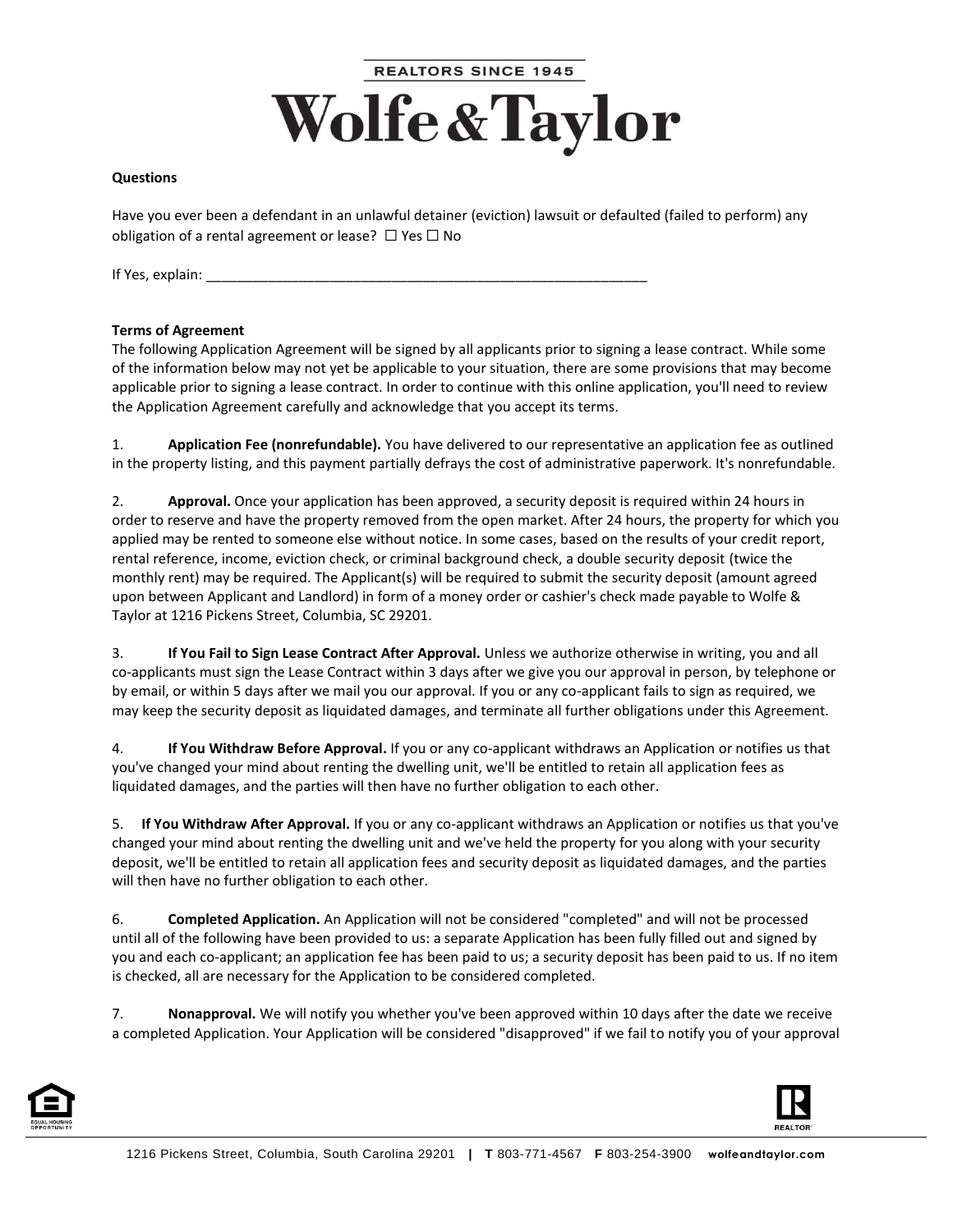# **REALTORS SINCE 1945 Wolfe & Taylor**

### **Questions**

Have you ever been a defendant in an unlawful detainer (eviction) lawsuit or defaulted (failed to perform) any obligation of a rental agreement or lease?  $\Box$  Yes  $\Box$  No

If Yes, explain:

### **Terms of Agreement**

The following Application Agreement will be signed by all applicants prior to signing a lease contract. While some of the information below may not yet be applicable to your situation, there are some provisions that may become applicable prior to signing a lease contract. In order to continue with this online application, you'll need to review the Application Agreement carefully and acknowledge that you accept its terms.

1. **Application Fee (nonrefundable).** You have delivered to our representative an application fee as outlined in the property listing, and this payment partially defrays the cost of administrative paperwork. It's nonrefundable.

2. **Approval.** Once your application has been approved, a security deposit is required within 24 hours in order to reserve and have the property removed from the open market. After 24 hours, the property for which you applied may be rented to someone else without notice. In some cases, based on the results of your credit report, rental reference, income, eviction check, or criminal background check, a double security deposit (twice the monthly rent) may be required. The Applicant(s) will be required to submit the security deposit (amount agreed upon between Applicant and Landlord) in form of a money order or cashier's check made payable to Wolfe & Taylor at 1216 Pickens Street, Columbia, SC 29201.

3. **If You Fail to Sign Lease Contract After Approval.** Unless we authorize otherwise in writing, you and all co-applicants must sign the Lease Contract within 3 days after we give you our approval in person, by telephone or by email, or within 5 days after we mail you our approval. If you or any co-applicant fails to sign as required, we may keep the security deposit as liquidated damages, and terminate all further obligations under this Agreement.

4. **If You Withdraw Before Approval.** If you or any co-applicant withdraws an Application or notifies us that you've changed your mind about renting the dwelling unit, we'll be entitled to retain all application fees as liquidated damages, and the parties will then have no further obligation to each other.

5. **If You Withdraw After Approval.** If you or any co-applicant withdraws an Application or notifies us that you've changed your mind about renting the dwelling unit and we've held the property for you along with your security deposit, we'll be entitled to retain all application fees and security deposit as liquidated damages, and the parties will then have no further obligation to each other.

6. **Completed Application.** An Application will not be considered "completed" and will not be processed until all of the following have been provided to us: a separate Application has been fully filled out and signed by you and each co-applicant; an application fee has been paid to us; a security deposit has been paid to us. If no item is checked, all are necessary for the Application to be considered completed.

7. **Nonapproval.** We will notify you whether you've been approved within 10 days after the date we receive a completed Application. Your Application will be considered "disapproved" if we fail to notify you of your approval



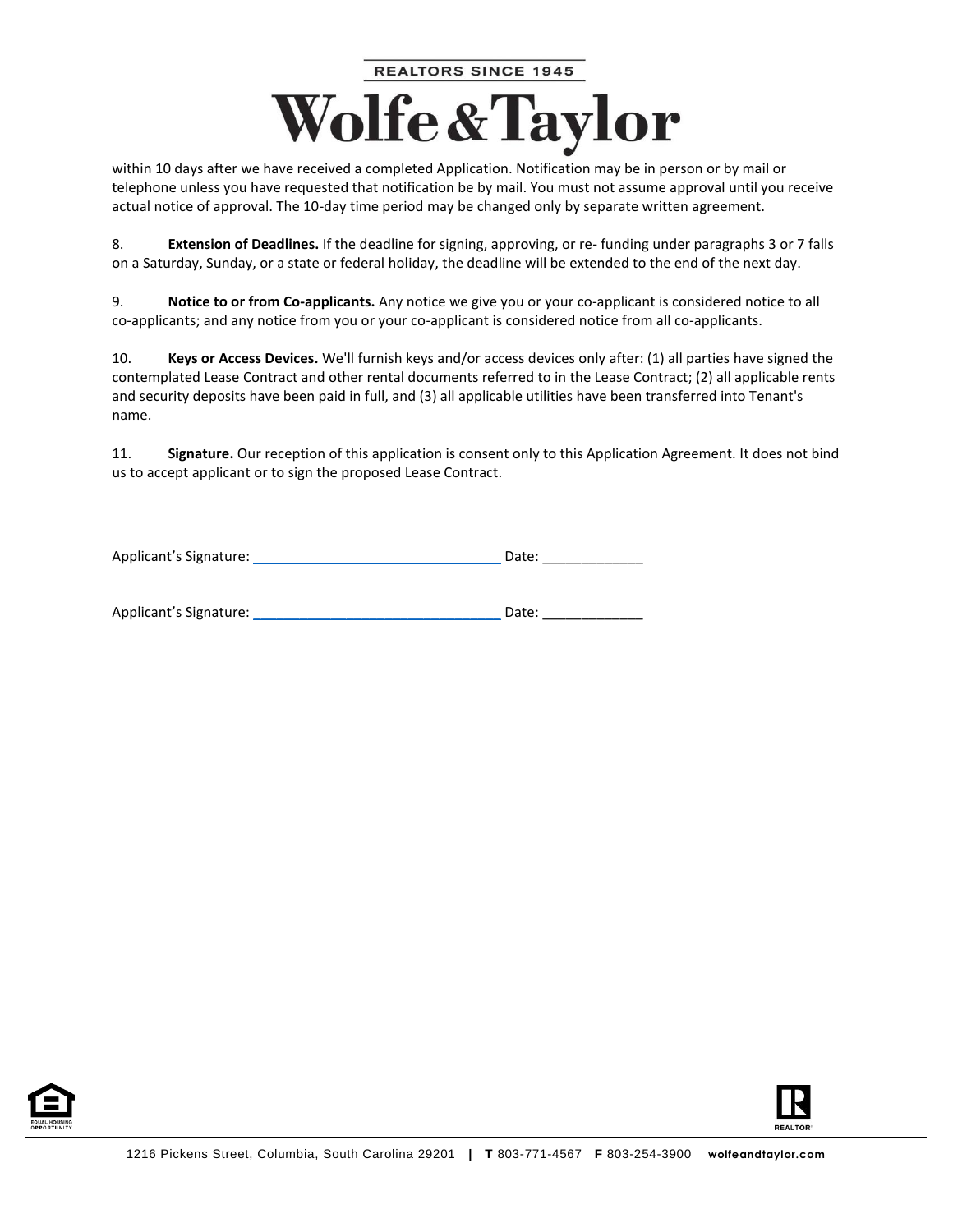

within 10 days after we have received a completed Application. Notification may be in person or by mail or telephone unless you have requested that notification be by mail. You must not assume approval until you receive actual notice of approval. The 10-day time period may be changed only by separate written agreement.

8. **Extension of Deadlines.** If the deadline for signing, approving, or re- funding under paragraphs 3 or 7 falls on a Saturday, Sunday, or a state or federal holiday, the deadline will be extended to the end of the next day.

9. **Notice to or from Co-applicants.** Any notice we give you or your co-applicant is considered notice to all co-applicants; and any notice from you or your co-applicant is considered notice from all co-applicants.

10. **Keys or Access Devices.** We'll furnish keys and/or access devices only after: (1) all parties have signed the contemplated Lease Contract and other rental documents referred to in the Lease Contract; (2) all applicable rents and security deposits have been paid in full, and (3) all applicable utilities have been transferred into Tenant's name.

11. **Signature.** Our reception of this application is consent only to this Application Agreement. It does not bind us to accept applicant or to sign the proposed Lease Contract.

| Applicant's Signature: | Date: |
|------------------------|-------|
|                        |       |

| Applicant's Signature: | Date: |
|------------------------|-------|
|                        |       |